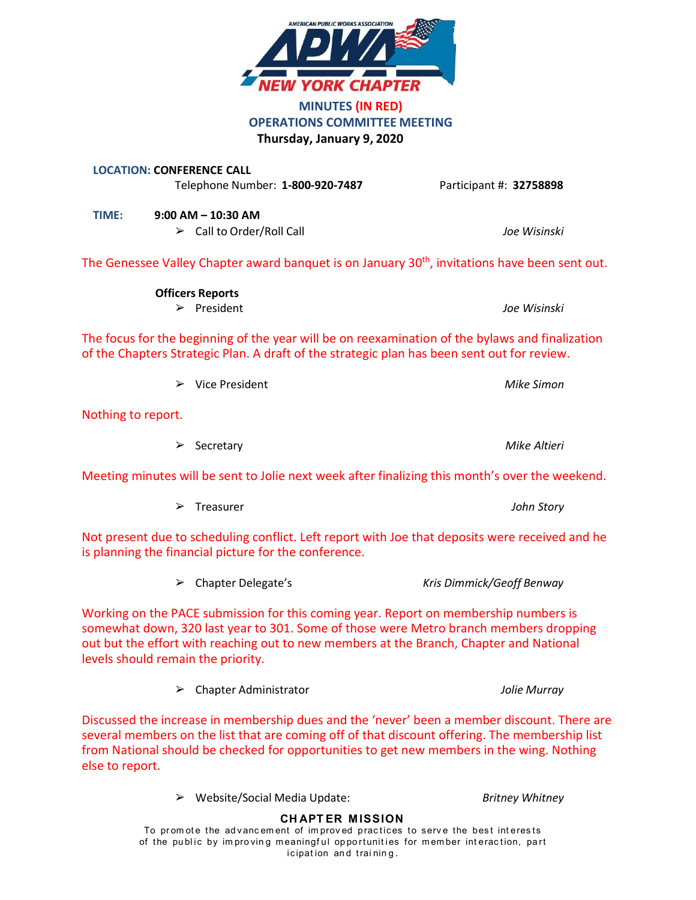

Meeting minutes will be sent to Jolie next week after finalizing this month's over the weekend.

| John Story |
|------------|
|            |

Not present due to scheduling conflict. Left report with Joe that deposits were received and he is planning the financial picture for the conference.

| $\triangleright$ Chapter Delegate's | Kris Dimmick/Geoff Benway |
|-------------------------------------|---------------------------|
|-------------------------------------|---------------------------|

Working on the PACE submission for this coming year. Report on membership numbers is somewhat down, 320 last year to 301. Some of those were Metro branch members dropping out but the effort with reaching out to new members at the Branch, Chapter and National levels should remain the priority.

➢ Chapter Administrator *Jolie Murray*

Discussed the increase in membership dues and the 'never' been a member discount. There are several members on the list that are coming off of that discount offering. The membership list from National should be checked for opportunities to get new members in the wing. Nothing else to report.

➢ Website/Social Media Update: *Britney Whitney*

# **CH APT ER M ISSION**

To promote the advancement of improved practices to serve the best interests of the public by improving meaningful opportunities for member interaction, part icipation and training.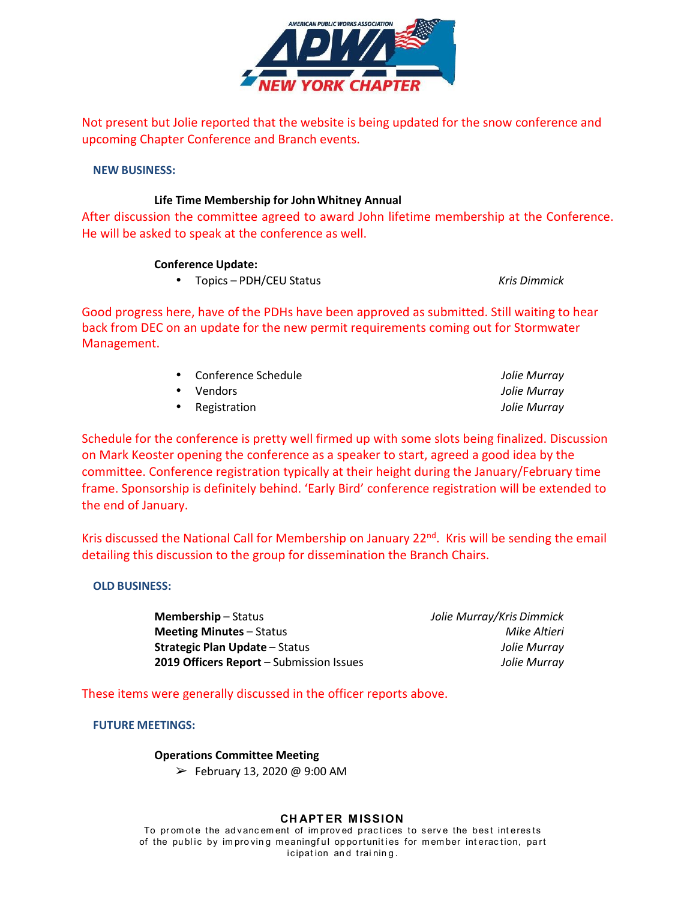

Not present but Jolie reported that the website is being updated for the snow conference and upcoming Chapter Conference and Branch events.

## **NEW BUSINESS:**

## **Life Time Membership for John Whitney Annual**

After discussion the committee agreed to award John lifetime membership at the Conference. He will be asked to speak at the conference as well.

## **Conference Update:**

• Topics – PDH/CEU Status *Kris Dimmick*

Good progress here, have of the PDHs have been approved as submitted. Still waiting to hear back from DEC on an update for the new permit requirements coming out for Stormwater Management.

> • Conference Schedule *Jolie Murray* • Vendors *Jolie Murray* • Registration *Jolie Murray*

Schedule for the conference is pretty well firmed up with some slots being finalized. Discussion on Mark Keoster opening the conference as a speaker to start, agreed a good idea by the committee. Conference registration typically at their height during the January/February time frame. Sponsorship is definitely behind. 'Early Bird' conference registration will be extended to the end of January.

Kris discussed the National Call for Membership on January 22<sup>nd</sup>. Kris will be sending the email detailing this discussion to the group for dissemination the Branch Chairs.

## **OLD BUSINESS:**

**Membership** – Status *Jolie Murray/Kris Dimmick* **Meeting Minutes** – Status *Mike Altieri* **Strategic Plan Update** – Status *Jolie Murray* **2019 Officers Report** – Submission Issues *Jolie Murray*

These items were generally discussed in the officer reports above.

## **FUTURE MEETINGS:**

## **Operations Committee Meeting**

 $\blacktriangleright$  February 13, 2020 @ 9:00 AM

## **CH APT ER M ISSION**

To promote the advancement of improved practices to serve the best interests of the public by improving meaningful opportunities for member interaction, part icipation and training.